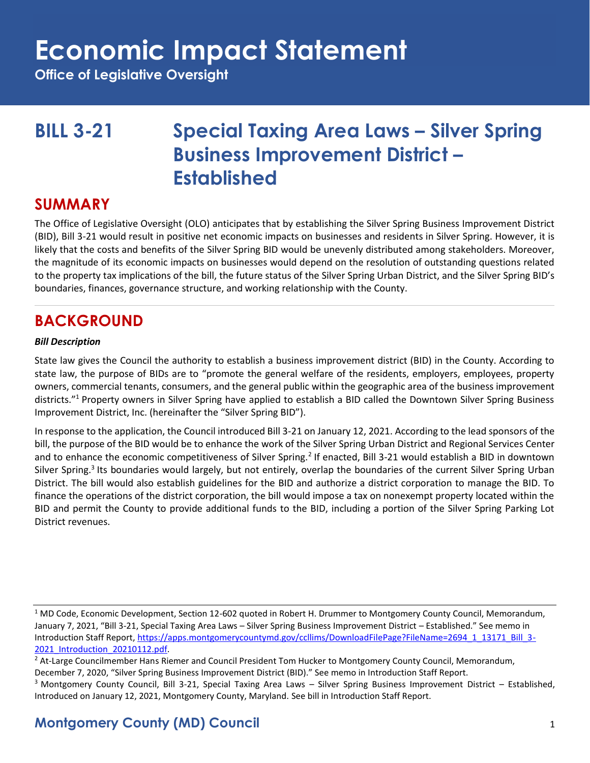**Office of Legislative Oversight**

## **BILL 3-21 Special Taxing Area Laws – Silver Spring Business Improvement District – Established**

### **SUMMARY**

The Office of Legislative Oversight (OLO) anticipates that by establishing the Silver Spring Business Improvement District (BID), Bill 3-21 would result in positive net economic impacts on businesses and residents in Silver Spring. However, it is likely that the costs and benefits of the Silver Spring BID would be unevenly distributed among stakeholders. Moreover, the magnitude of its economic impacts on businesses would depend on the resolution of outstanding questions related to the property tax implications of the bill, the future status of the Silver Spring Urban District, and the Silver Spring BID's boundaries, finances, governance structure, and working relationship with the County.

## **BACKGROUND**

### *Bill Description*

State law gives the Council the authority to establish a business improvement district (BID) in the County. According to state law, the purpose of BIDs are to "promote the general welfare of the residents, employers, employees, property owners, commercial tenants, consumers, and the general public within the geographic area of the business improvement districts."<sup>1</sup> Property owners in Silver Spring have applied to establish a BID called the Downtown Silver Spring Business Improvement District, Inc. (hereinafter the "Silver Spring BID").

In response to the application, the Council introduced Bill 3-21 on January 12, 2021. According to the lead sponsors of the bill, the purpose of the BID would be to enhance the work of the Silver Spring Urban District and Regional Services Center and to enhance the economic competitiveness of Silver Spring.<sup>2</sup> If enacted, Bill 3-21 would establish a BID in downtown Silver Spring.<sup>3</sup> Its boundaries would largely, but not entirely, overlap the boundaries of the current Silver Spring Urban District. The bill would also establish guidelines for the BID and authorize a district corporation to manage the BID. To finance the operations of the district corporation, the bill would impose a tax on nonexempt property located within the BID and permit the County to provide additional funds to the BID, including a portion of the Silver Spring Parking Lot District revenues.

<sup>1</sup> MD Code, Economic Development, Section 12-602 quoted in Robert H. Drummer to Montgomery County Council, Memorandum, January 7, 2021, "Bill 3-21, Special Taxing Area Laws – Silver Spring Business Improvement District – Established." See memo in Introduction Staff Report[, https://apps.montgomerycountymd.gov/ccllims/DownloadFilePage?FileName=2694\\_1\\_13171\\_Bill\\_3-](https://apps.montgomerycountymd.gov/ccllims/DownloadFilePage?FileName=2694_1_13171_Bill_3-2021_Introduction_20210112.pdf) [2021\\_Introduction\\_20210112.pdf.](https://apps.montgomerycountymd.gov/ccllims/DownloadFilePage?FileName=2694_1_13171_Bill_3-2021_Introduction_20210112.pdf)

<sup>2</sup> At-Large Councilmember Hans Riemer and Council President Tom Hucker to Montgomery County Council, Memorandum, December 7, 2020, "Silver Spring Business Improvement District (BID)." See memo in Introduction Staff Report. <sup>3</sup> Montgomery County Council, Bill 3-21, Special Taxing Area Laws – Silver Spring Business Improvement District – Established,

Introduced on January 12, 2021, Montgomery County, Maryland. See bill in Introduction Staff Report.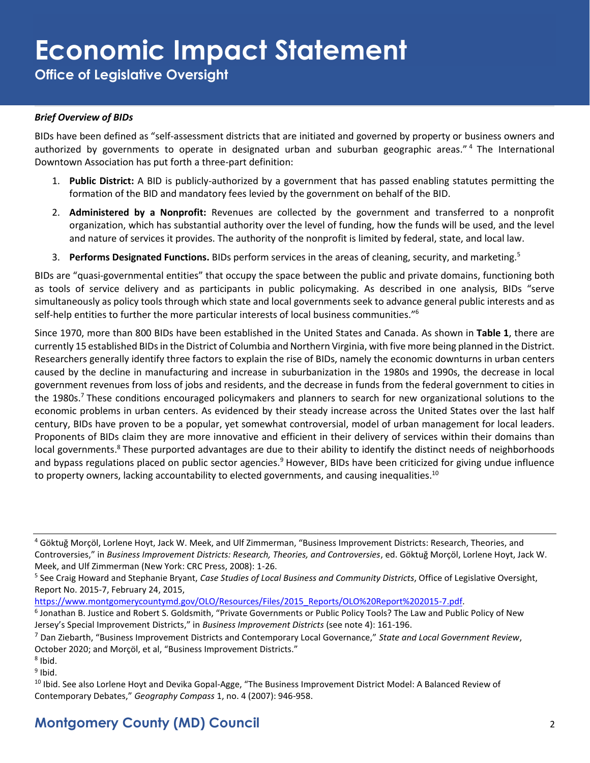**Office of Legislative Oversight**

### *Brief Overview of BIDs*

BIDs have been defined as "self-assessment districts that are initiated and governed by property or business owners and authorized by governments to operate in designated urban and suburban geographic areas." <sup>4</sup> The International Downtown Association has put forth a three-part definition:

- 1. **Public District:** A BID is publicly-authorized by a government that has passed enabling statutes permitting the formation of the BID and mandatory fees levied by the government on behalf of the BID.
- 2. **Administered by a Nonprofit:** Revenues are collected by the government and transferred to a nonprofit organization, which has substantial authority over the level of funding, how the funds will be used, and the level and nature of services it provides. The authority of the nonprofit is limited by federal, state, and local law.
- 3. **Performs Designated Functions.** BIDs perform services in the areas of cleaning, security, and marketing.<sup>5</sup>

BIDs are "quasi-governmental entities" that occupy the space between the public and private domains, functioning both as tools of service delivery and as participants in public policymaking. As described in one analysis, BIDs "serve simultaneously as policy tools through which state and local governments seek to advance general public interests and as self-help entities to further the more particular interests of local business communities."<sup>6</sup>

Since 1970, more than 800 BIDs have been established in the United States and Canada. As shown in **Table 1**, there are currently 15 established BIDs in the District of Columbia and Northern Virginia, with five more being planned in the District. Researchers generally identify three factors to explain the rise of BIDs, namely the economic downturns in urban centers caused by the decline in manufacturing and increase in suburbanization in the 1980s and 1990s, the decrease in local government revenues from loss of jobs and residents, and the decrease in funds from the federal government to cities in the 1980s.<sup>7</sup> These conditions encouraged policymakers and planners to search for new organizational solutions to the economic problems in urban centers. As evidenced by their steady increase across the United States over the last half century, BIDs have proven to be a popular, yet somewhat controversial, model of urban management for local leaders. Proponents of BIDs claim they are more innovative and efficient in their delivery of services within their domains than local governments.<sup>8</sup> These purported advantages are due to their ability to identify the distinct needs of neighborhoods and bypass regulations placed on public sector agencies.<sup>9</sup> However, BIDs have been criticized for giving undue influence to property owners, lacking accountability to elected governments, and causing inequalities. $^{10}$ 

[https://www.montgomerycountymd.gov/OLO/Resources/Files/2015\\_Reports/OLO%20Report%202015-7.pdf.](https://www.montgomerycountymd.gov/OLO/Resources/Files/2015_Reports/OLO%20Report%202015-7.pdf)

- <sup>7</sup> Dan Ziebarth, "Business Improvement Districts and Contemporary Local Governance," *State and Local Government Review*, October 2020; and Morçöl, et al, "Business Improvement Districts."
- 8 Ibid.

<sup>9</sup> Ibid.

<sup>4</sup> Göktuğ Morçöl, Lorlene Hoyt, Jack W. Meek, and Ulf Zimmerman, "Business Improvement Districts: Research, Theories, and Controversies," in *Business Improvement Districts: Research, Theories, and Controversies*, ed. Göktuğ Morçöl, Lorlene Hoyt, Jack W. Meek, and Ulf Zimmerman (New York: CRC Press, 2008): 1-26.

<sup>5</sup> See Craig Howard and Stephanie Bryant, *Case Studies of Local Business and Community Districts*, Office of Legislative Oversight, Report No. 2015-7, February 24, 2015,

<sup>&</sup>lt;sup>6</sup> Jonathan B. Justice and Robert S. Goldsmith, "Private Governments or Public Policy Tools? The Law and Public Policy of New Jersey's Special Improvement Districts," in *Business Improvement Districts* (see note 4): 161-196.

<sup>&</sup>lt;sup>10</sup> Ibid. See also Lorlene Hoyt and Devika Gopal-Agge, "The Business Improvement District Model: A Balanced Review of Contemporary Debates," *Geography Compass* 1, no. 4 (2007): 946-958.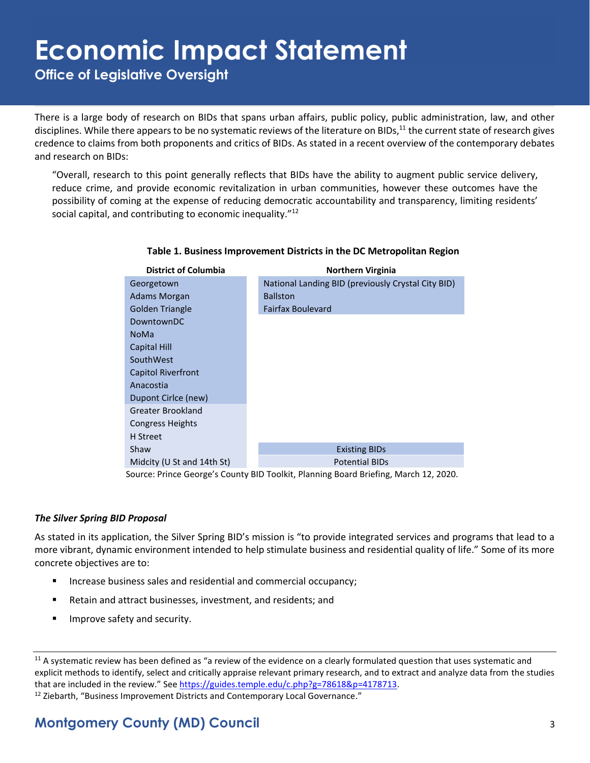**Office of Legislative Oversight**

There is a large body of research on BIDs that spans urban affairs, public policy, public administration, law, and other disciplines. While there appears to be no systematic reviews of the literature on BIDs,<sup>11</sup> the current state of research gives credence to claims from both proponents and critics of BIDs. As stated in a recent overview of the contemporary debates and research on BIDs:

"Overall, research to this point generally reflects that BIDs have the ability to augment public service delivery, reduce crime, and provide economic revitalization in urban communities, however these outcomes have the possibility of coming at the expense of reducing democratic accountability and transparency, limiting residents' social capital, and contributing to economic inequality."<sup>12</sup>

| <b>District of Columbia</b>                                                          | <b>Northern Virginia</b>                           |  |  |  |  |  |
|--------------------------------------------------------------------------------------|----------------------------------------------------|--|--|--|--|--|
| Georgetown                                                                           | National Landing BID (previously Crystal City BID) |  |  |  |  |  |
| Adams Morgan                                                                         | <b>Ballston</b>                                    |  |  |  |  |  |
| Golden Triangle                                                                      | <b>Fairfax Boulevard</b>                           |  |  |  |  |  |
| DowntownDC                                                                           |                                                    |  |  |  |  |  |
| <b>NoMa</b>                                                                          |                                                    |  |  |  |  |  |
| <b>Capital Hill</b>                                                                  |                                                    |  |  |  |  |  |
| SouthWest                                                                            |                                                    |  |  |  |  |  |
| <b>Capitol Riverfront</b>                                                            |                                                    |  |  |  |  |  |
| Anacostia                                                                            |                                                    |  |  |  |  |  |
| Dupont Cirlce (new)                                                                  |                                                    |  |  |  |  |  |
| Greater Brookland                                                                    |                                                    |  |  |  |  |  |
| Congress Heights                                                                     |                                                    |  |  |  |  |  |
| H Street                                                                             |                                                    |  |  |  |  |  |
| Shaw                                                                                 | <b>Existing BIDs</b>                               |  |  |  |  |  |
| Midcity (U St and 14th St)                                                           | <b>Potential BIDs</b>                              |  |  |  |  |  |
| Source: Prince George's County BID Toolkit, Planning Board Briefing, March 12, 2020. |                                                    |  |  |  |  |  |

#### **Table 1. Business Improvement Districts in the DC Metropolitan Region**

#### *The Silver Spring BID Proposal*

As stated in its application, the Silver Spring BID's mission is "to provide integrated services and programs that lead to a more vibrant, dynamic environment intended to help stimulate business and residential quality of life." Some of its more concrete objectives are to:

- Increase business sales and residential and commercial occupancy;
- Retain and attract businesses, investment, and residents; and
- Improve safety and security.

<sup>&</sup>lt;sup>11</sup> A systematic review has been defined as "a review of the evidence on a clearly formulated question that uses systematic and explicit methods to identify, select and critically appraise relevant primary research, and to extract and analyze data from the studies that are included in the review." Se[e https://guides.temple.edu/c.php?g=78618&p=4178713.](https://guides.temple.edu/c.php?g=78618&p=4178713)   $12$  Ziebarth, "Business Improvement Districts and Contemporary Local Governance."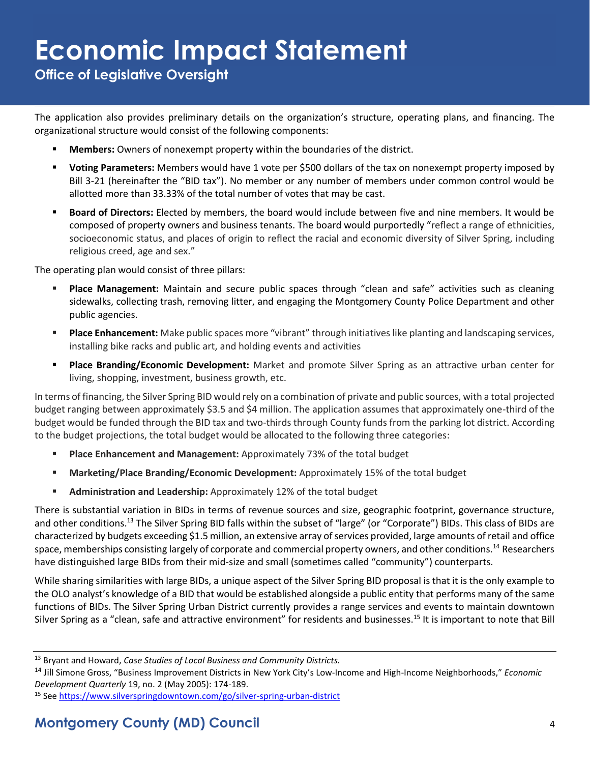**Office of Legislative Oversight**

The application also provides preliminary details on the organization's structure, operating plans, and financing. The organizational structure would consist of the following components:

- **Members:** Owners of nonexempt property within the boundaries of the district.
- Voting Parameters: Members would have 1 vote per \$500 dollars of the tax on nonexempt property imposed by Bill 3-21 (hereinafter the "BID tax"). No member or any number of members under common control would be allotted more than 33.33% of the total number of votes that may be cast.
- **Board of Directors:** Elected by members, the board would include between five and nine members. It would be composed of property owners and business tenants. The board would purportedly "reflect a range of ethnicities, socioeconomic status, and places of origin to reflect the racial and economic diversity of Silver Spring, including religious creed, age and sex."

The operating plan would consist of three pillars:

- **Place Management:** Maintain and secure public spaces through "clean and safe" activities such as cleaning sidewalks, collecting trash, removing litter, and engaging the Montgomery County Police Department and other public agencies.
- **Place Enhancement:** Make public spaces more "vibrant" through initiatives like planting and landscaping services, installing bike racks and public art, and holding events and activities
- **Place Branding/Economic Development:** Market and promote Silver Spring as an attractive urban center for living, shopping, investment, business growth, etc.

In terms of financing, the Silver Spring BID would rely on a combination of private and public sources, with a total projected budget ranging between approximately \$3.5 and \$4 million. The application assumes that approximately one-third of the budget would be funded through the BID tax and two-thirds through County funds from the parking lot district. According to the budget projections, the total budget would be allocated to the following three categories:

- **Place Enhancement and Management:** Approximately 73% of the total budget
- **Marketing/Place Branding/Economic Development:** Approximately 15% of the total budget
- Administration and Leadership: Approximately 12% of the total budget

There is substantial variation in BIDs in terms of revenue sources and size, geographic footprint, governance structure, and other conditions.<sup>13</sup> The Silver Spring BID falls within the subset of "large" (or "Corporate") BIDs. This class of BIDs are characterized by budgets exceeding \$1.5 million, an extensive array of services provided, large amounts of retail and office space, memberships consisting largely of corporate and commercial property owners, and other conditions.<sup>14</sup> Researchers have distinguished large BIDs from their mid-size and small (sometimes called "community") counterparts.

While sharing similarities with large BIDs, a unique aspect of the Silver Spring BID proposal is that it is the only example to the OLO analyst's knowledge of a BID that would be established alongside a public entity that performs many of the same functions of BIDs. The Silver Spring Urban District currently provides a range services and events to maintain downtown Silver Spring as a "clean, safe and attractive environment" for residents and businesses.<sup>15</sup> It is important to note that Bill

<sup>13</sup> Bryant and Howard, *Case Studies of Local Business and Community Districts.* 

<sup>14</sup> Jill Simone Gross, "Business Improvement Districts in New York City's Low-Income and High-Income Neighborhoods," *Economic Development Quarterly* 19, no. 2 (May 2005): 174-189.

<sup>15</sup> Se[e https://www.silverspringdowntown.com/go/silver-spring-urban-district](https://www.silverspringdowntown.com/go/silver-spring-urban-district)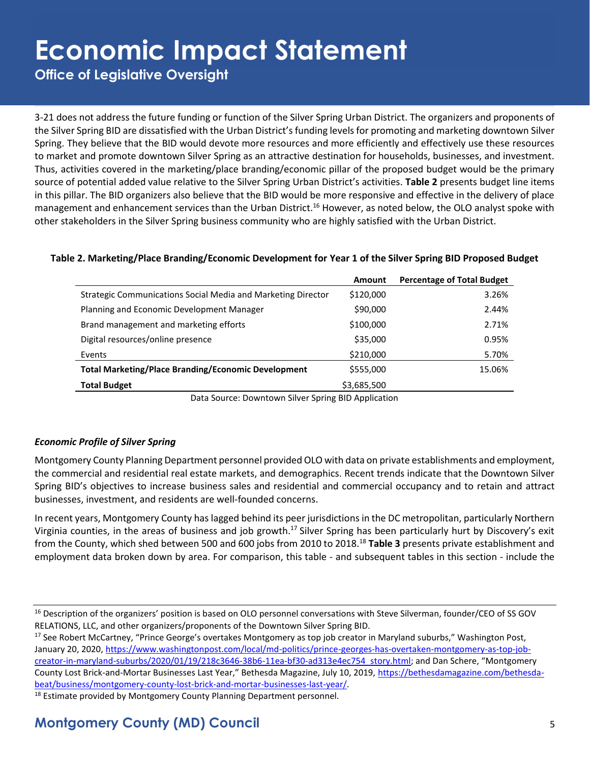**Office of Legislative Oversight**

3-21 does not address the future funding or function of the Silver Spring Urban District. The organizers and proponents of the Silver Spring BID are dissatisfied with the Urban District's funding levels for promoting and marketing downtown Silver Spring. They believe that the BID would devote more resources and more efficiently and effectively use these resources to market and promote downtown Silver Spring as an attractive destination for households, businesses, and investment. Thus, activities covered in the marketing/place branding/economic pillar of the proposed budget would be the primary source of potential added value relative to the Silver Spring Urban District's activities. **Table 2** presents budget line items in this pillar. The BID organizers also believe that the BID would be more responsive and effective in the delivery of place management and enhancement services than the Urban District.<sup>16</sup> However, as noted below, the OLO analyst spoke with other stakeholders in the Silver Spring business community who are highly satisfied with the Urban District.

### **Table 2. Marketing/Place Branding/Economic Development for Year 1 of the Silver Spring BID Proposed Budget**

|                                                              | Amount      | <b>Percentage of Total Budget</b> |
|--------------------------------------------------------------|-------------|-----------------------------------|
| Strategic Communications Social Media and Marketing Director | \$120,000   | 3.26%                             |
| Planning and Economic Development Manager                    | \$90,000    | 2.44%                             |
| Brand management and marketing efforts                       | \$100,000   | 2.71%                             |
| Digital resources/online presence                            | \$35,000    | 0.95%                             |
| Events                                                       | \$210,000   | 5.70%                             |
| <b>Total Marketing/Place Branding/Economic Development</b>   | \$555,000   | 15.06%                            |
| <b>Total Budget</b>                                          | \$3,685,500 |                                   |

Data Source: Downtown Silver Spring BID Application

### *Economic Profile of Silver Spring*

Montgomery County Planning Department personnel provided OLO with data on private establishments and employment, the commercial and residential real estate markets, and demographics. Recent trends indicate that the Downtown Silver Spring BID's objectives to increase business sales and residential and commercial occupancy and to retain and attract businesses, investment, and residents are well-founded concerns.

In recent years, Montgomery County has lagged behind its peer jurisdictions in the DC metropolitan, particularly Northern Virginia counties, in the areas of business and job growth.<sup>17</sup> Silver Spring has been particularly hurt by Discovery's exit from the County, which shed between 500 and 600 jobs from 2010 to 2018.<sup>18</sup> **Table 3** presents private establishment and employment data broken down by area. For comparison, this table - and subsequent tables in this section - include the

<sup>&</sup>lt;sup>16</sup> Description of the organizers' position is based on OLO personnel conversations with Steve Silverman, founder/CEO of SS GOV RELATIONS, LLC, and other organizers/proponents of the Downtown Silver Spring BID.

<sup>&</sup>lt;sup>17</sup> See Robert McCartney, "Prince George's overtakes Montgomery as top job creator in Maryland suburbs," Washington Post, January 20, 2020[, https://www.washingtonpost.com/local/md-politics/prince-georges-has-overtaken-montgomery-as-top-job](https://www.washingtonpost.com/local/md-politics/prince-georges-has-overtaken-montgomery-as-top-job-creator-in-maryland-suburbs/2020/01/19/218c3646-38b6-11ea-bf30-ad313e4ec754_story.html)[creator-in-maryland-suburbs/2020/01/19/218c3646-38b6-11ea-bf30-ad313e4ec754\\_story.html](https://www.washingtonpost.com/local/md-politics/prince-georges-has-overtaken-montgomery-as-top-job-creator-in-maryland-suburbs/2020/01/19/218c3646-38b6-11ea-bf30-ad313e4ec754_story.html); and Dan Schere, "Montgomery County Lost Brick-and-Mortar Businesses Last Year," Bethesda Magazine, July 10, 2019, [https://bethesdamagazine.com/bethesda](https://bethesdamagazine.com/bethesda-beat/business/montgomery-county-lost-brick-and-mortar-businesses-last-year/)[beat/business/montgomery-county-lost-brick-and-mortar-businesses-last-year/.](https://bethesdamagazine.com/bethesda-beat/business/montgomery-county-lost-brick-and-mortar-businesses-last-year/)

<sup>&</sup>lt;sup>18</sup> Estimate provided by Montgomery County Planning Department personnel.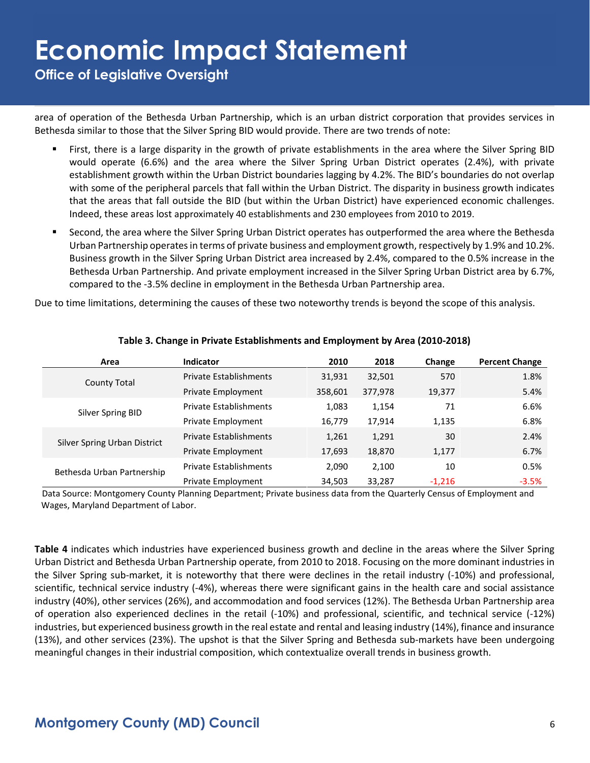**Office of Legislative Oversight**

area of operation of the Bethesda Urban Partnership, which is an urban district corporation that provides services in Bethesda similar to those that the Silver Spring BID would provide. There are two trends of note:

- First, there is a large disparity in the growth of private establishments in the area where the Silver Spring BID would operate (6.6%) and the area where the Silver Spring Urban District operates (2.4%), with private establishment growth within the Urban District boundaries lagging by 4.2%. The BID's boundaries do not overlap with some of the peripheral parcels that fall within the Urban District. The disparity in business growth indicates that the areas that fall outside the BID (but within the Urban District) have experienced economic challenges. Indeed, these areas lost approximately 40 establishments and 230 employees from 2010 to 2019.
- Second, the area where the Silver Spring Urban District operates has outperformed the area where the Bethesda Urban Partnership operates in terms of private business and employment growth, respectively by 1.9% and 10.2%. Business growth in the Silver Spring Urban District area increased by 2.4%, compared to the 0.5% increase in the Bethesda Urban Partnership. And private employment increased in the Silver Spring Urban District area by 6.7%, compared to the -3.5% decline in employment in the Bethesda Urban Partnership area.

Due to time limitations, determining the causes of these two noteworthy trends is beyond the scope of this analysis.

| Area                         | <b>Indicator</b>              | 2010    | 2018    | Change   | <b>Percent Change</b> |
|------------------------------|-------------------------------|---------|---------|----------|-----------------------|
| <b>County Total</b>          | <b>Private Establishments</b> | 31,931  | 32,501  | 570      | 1.8%                  |
|                              | Private Employment            | 358,601 | 377,978 | 19,377   | 5.4%                  |
| Silver Spring BID            | <b>Private Establishments</b> | 1,083   | 1,154   | 71       | 6.6%                  |
|                              | Private Employment            | 16,779  | 17,914  | 1,135    | 6.8%                  |
|                              | <b>Private Establishments</b> | 1,261   | 1,291   | 30       | 2.4%                  |
| Silver Spring Urban District | Private Employment            | 17,693  | 18,870  | 1,177    | 6.7%                  |
| Bethesda Urban Partnership   | Private Establishments        | 2,090   | 2,100   | 10       | 0.5%                  |
|                              | Private Employment            | 34,503  | 33,287  | $-1.216$ | $-3.5%$               |

#### **Table 3. Change in Private Establishments and Employment by Area (2010-2018)**

Data Source: Montgomery County Planning Department; Private business data from the Quarterly Census of Employment and Wages, Maryland Department of Labor.

**Table 4** indicates which industries have experienced business growth and decline in the areas where the Silver Spring Urban District and Bethesda Urban Partnership operate, from 2010 to 2018. Focusing on the more dominant industries in the Silver Spring sub-market, it is noteworthy that there were declines in the retail industry (-10%) and professional, scientific, technical service industry (-4%), whereas there were significant gains in the health care and social assistance industry (40%), other services (26%), and accommodation and food services (12%). The Bethesda Urban Partnership area of operation also experienced declines in the retail (-10%) and professional, scientific, and technical service (-12%) industries, but experienced business growth in the real estate and rental and leasing industry (14%), finance and insurance (13%), and other services (23%). The upshot is that the Silver Spring and Bethesda sub-markets have been undergoing meaningful changes in their industrial composition, which contextualize overall trends in business growth.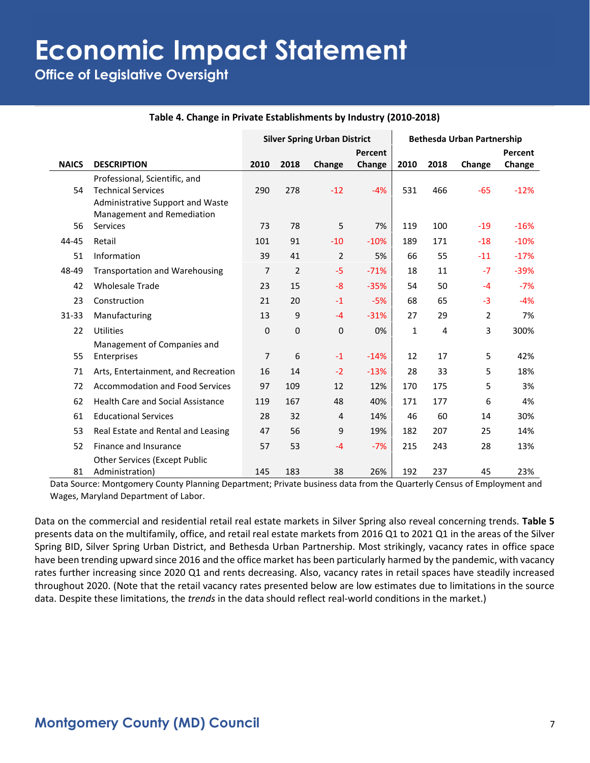**Office of Legislative Oversight**

|              |                                          | <b>Silver Spring Urban District</b> |                |                | <b>Bethesda Urban Partnership</b> |              |      |        |         |
|--------------|------------------------------------------|-------------------------------------|----------------|----------------|-----------------------------------|--------------|------|--------|---------|
|              |                                          |                                     |                |                | Percent                           |              |      |        | Percent |
| <b>NAICS</b> | <b>DESCRIPTION</b>                       | 2010                                | 2018           | Change         | Change                            | 2010         | 2018 | Change | Change  |
|              | Professional, Scientific, and            |                                     |                |                |                                   |              |      |        |         |
| 54           | <b>Technical Services</b>                | 290                                 | 278            | $-12$          | $-4%$                             | 531          | 466  | $-65$  | $-12%$  |
|              | <b>Administrative Support and Waste</b>  |                                     |                |                |                                   |              |      |        |         |
|              | Management and Remediation               |                                     |                |                |                                   |              |      |        |         |
| 56           | Services                                 | 73                                  | 78             | 5              | 7%                                | 119          | 100  | $-19$  | $-16%$  |
| 44-45        | Retail                                   | 101                                 | 91             | $-10$          | $-10%$                            | 189          | 171  | $-18$  | $-10%$  |
| 51           | Information                              | 39                                  | 41             | $\overline{2}$ | 5%                                | 66           | 55   | $-11$  | $-17%$  |
| 48-49        | <b>Transportation and Warehousing</b>    | $\overline{7}$                      | $\overline{2}$ | $-5$           | $-71%$                            | 18           | 11   | $-7$   | $-39%$  |
| 42           | <b>Wholesale Trade</b>                   | 23                                  | 15             | $-8$           | $-35%$                            | 54           | 50   | $-4$   | $-7%$   |
| 23           | Construction                             | 21                                  | 20             | $-1$           | $-5%$                             | 68           | 65   | $-3$   | $-4%$   |
| $31 - 33$    | Manufacturing                            | 13                                  | 9              | $-4$           | $-31%$                            | 27           | 29   | 2      | 7%      |
| 22           | Utilities                                | $\Omega$                            | $\mathbf{0}$   | 0              | 0%                                | $\mathbf{1}$ | 4    | 3      | 300%    |
|              | Management of Companies and              |                                     |                |                |                                   |              |      |        |         |
| 55           | Enterprises                              | 7                                   | 6              | $-1$           | $-14%$                            | 12           | 17   | 5      | 42%     |
| 71           | Arts, Entertainment, and Recreation      | 16                                  | 14             | $-2$           | $-13%$                            | 28           | 33   | 5      | 18%     |
| 72           | <b>Accommodation and Food Services</b>   | 97                                  | 109            | 12             | 12%                               | 170          | 175  | 5      | 3%      |
| 62           | <b>Health Care and Social Assistance</b> | 119                                 | 167            | 48             | 40%                               | 171          | 177  | 6      | 4%      |
| 61           | <b>Educational Services</b>              | 28                                  | 32             | 4              | 14%                               | 46           | 60   | 14     | 30%     |
| 53           | Real Estate and Rental and Leasing       | 47                                  | 56             | 9              | 19%                               | 182          | 207  | 25     | 14%     |
| 52           | Finance and Insurance                    | 57                                  | 53             | $-4$           | $-7%$                             | 215          | 243  | 28     | 13%     |
|              | <b>Other Services (Except Public</b>     |                                     |                |                |                                   |              |      |        |         |
| 81           | Administration)                          | 145                                 | 183            | 38             | 26%                               | 192          | 237  | 45     | 23%     |

#### **Table 4. Change in Private Establishments by Industry (2010-2018)**

 Data Source: Montgomery County Planning Department; Private business data from the Quarterly Census of Employment and Wages, Maryland Department of Labor.

Data on the commercial and residential retail real estate markets in Silver Spring also reveal concerning trends. **Table 5** presents data on the multifamily, office, and retail real estate markets from 2016 Q1 to 2021 Q1 in the areas of the Silver Spring BID, Silver Spring Urban District, and Bethesda Urban Partnership. Most strikingly, vacancy rates in office space have been trending upward since 2016 and the office market has been particularly harmed by the pandemic, with vacancy rates further increasing since 2020 Q1 and rents decreasing. Also, vacancy rates in retail spaces have steadily increased throughout 2020. (Note that the retail vacancy rates presented below are low estimates due to limitations in the source data. Despite these limitations, the *trends* in the data should reflect real-world conditions in the market.)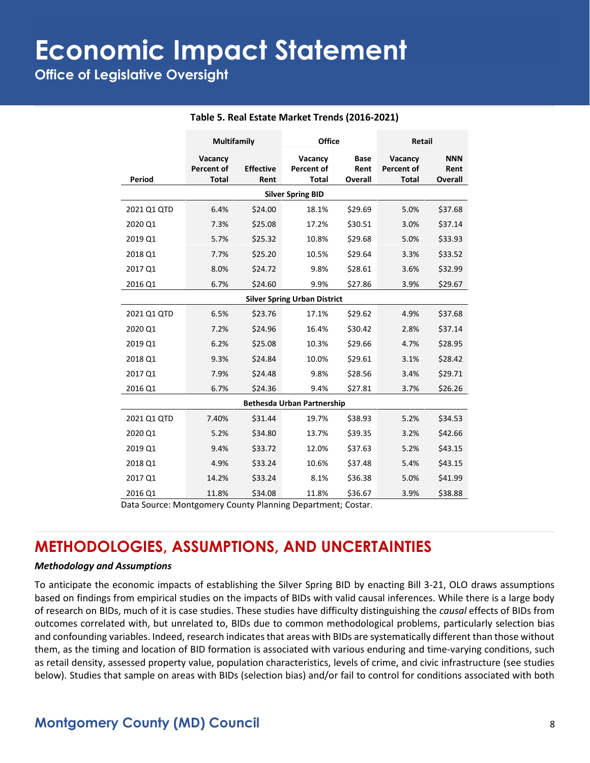**Office of Legislative Oversight**

|                                   | <b>Multifamily</b>                           |                          | <b>Office</b>                                |                                | Retail                                |                                      |  |  |  |  |
|-----------------------------------|----------------------------------------------|--------------------------|----------------------------------------------|--------------------------------|---------------------------------------|--------------------------------------|--|--|--|--|
| Period                            | Vacancy<br><b>Percent of</b><br><b>Total</b> | <b>Effective</b><br>Rent | Vacancy<br><b>Percent of</b><br><b>Total</b> | <b>Base</b><br>Rent<br>Overall | Vacancy<br>Percent of<br><b>Total</b> | <b>NNN</b><br>Rent<br><b>Overall</b> |  |  |  |  |
| <b>Silver Spring BID</b>          |                                              |                          |                                              |                                |                                       |                                      |  |  |  |  |
| 2021 Q1 QTD                       | 6.4%                                         | \$24.00                  | 18.1%                                        | \$29.69                        | 5.0%                                  | \$37.68                              |  |  |  |  |
| 2020 Q1                           | 7.3%                                         | \$25.08                  | 17.2%                                        | \$30.51                        | 3.0%                                  | \$37.14                              |  |  |  |  |
| 2019 Q1                           | 5.7%                                         | \$25.32                  | 10.8%                                        | \$29.68                        | 5.0%                                  | \$33.93                              |  |  |  |  |
| 2018 Q1                           | 7.7%                                         | \$25.20                  | 10.5%                                        | \$29.64                        | 3.3%                                  | \$33.52                              |  |  |  |  |
| 2017 Q1                           | 8.0%                                         | \$24.72                  | 9.8%                                         | \$28.61                        | 3.6%                                  | \$32.99                              |  |  |  |  |
| 2016 Q1                           | 6.7%                                         | \$24.60                  | 9.9%                                         | \$27.86                        | 3.9%                                  | \$29.67                              |  |  |  |  |
|                                   |                                              |                          | <b>Silver Spring Urban District</b>          |                                |                                       |                                      |  |  |  |  |
| 2021 Q1 QTD                       | 6.5%                                         | \$23.76                  | 17.1%                                        | \$29.62                        | 4.9%                                  | \$37.68                              |  |  |  |  |
| 2020 Q1                           | 7.2%                                         | \$24.96                  | 16.4%                                        | \$30.42                        | 2.8%                                  | \$37.14                              |  |  |  |  |
| 2019 Q1                           | 6.2%                                         | \$25.08                  | 10.3%                                        | \$29.66                        | 4.7%                                  | \$28.95                              |  |  |  |  |
| 2018 Q1                           | 9.3%                                         | \$24.84                  | 10.0%                                        | \$29.61                        | 3.1%                                  | \$28.42                              |  |  |  |  |
| 2017 Q1                           | 7.9%                                         | \$24.48                  | 9.8%                                         | \$28.56                        | 3.4%                                  | \$29.71                              |  |  |  |  |
| 2016 Q1                           | 6.7%                                         | \$24.36                  | 9.4%                                         | \$27.81                        | 3.7%                                  | \$26.26                              |  |  |  |  |
| <b>Bethesda Urban Partnership</b> |                                              |                          |                                              |                                |                                       |                                      |  |  |  |  |
| 2021 Q1 QTD                       | 7.40%                                        | \$31.44                  | 19.7%                                        | \$38.93                        | 5.2%                                  | \$34.53                              |  |  |  |  |
| 2020 Q1                           | 5.2%                                         | \$34.80                  | 13.7%                                        | \$39.35                        | 3.2%                                  | \$42.66                              |  |  |  |  |
| 2019 Q1                           | 9.4%                                         | \$33.72                  | 12.0%                                        | \$37.63                        | 5.2%                                  | \$43.15                              |  |  |  |  |
| 2018 Q1                           | 4.9%                                         | \$33.24                  | 10.6%                                        | \$37.48                        | 5.4%                                  | \$43.15                              |  |  |  |  |
| 2017 Q1                           | 14.2%                                        | \$33.24                  | 8.1%                                         | \$36.38                        | 5.0%                                  | \$41.99                              |  |  |  |  |
| 2016 Q1                           | 11.8%                                        | \$34.08                  | 11.8%                                        | \$36.67                        | 3.9%                                  | \$38.88                              |  |  |  |  |

#### **Table 5. Real Estate Market Trends (2016-2021)**

Data Source: Montgomery County Planning Department; Costar.

### **METHODOLOGIES, ASSUMPTIONS, AND UNCERTAINTIES**

#### *Methodology and Assumptions*

To anticipate the economic impacts of establishing the Silver Spring BID by enacting Bill 3-21, OLO draws assumptions based on findings from empirical studies on the impacts of BIDs with valid causal inferences. While there is a large body of research on BIDs, much of it is case studies. These studies have difficulty distinguishing the *causal* effects of BIDs from outcomes correlated with, but unrelated to, BIDs due to common methodological problems, particularly selection bias and confounding variables. Indeed, research indicates that areas with BIDs are systematically different than those without them, as the timing and location of BID formation is associated with various enduring and time-varying conditions, such as retail density, assessed property value, population characteristics, levels of crime, and civic infrastructure (see studies below). Studies that sample on areas with BIDs (selection bias) and/or fail to control for conditions associated with both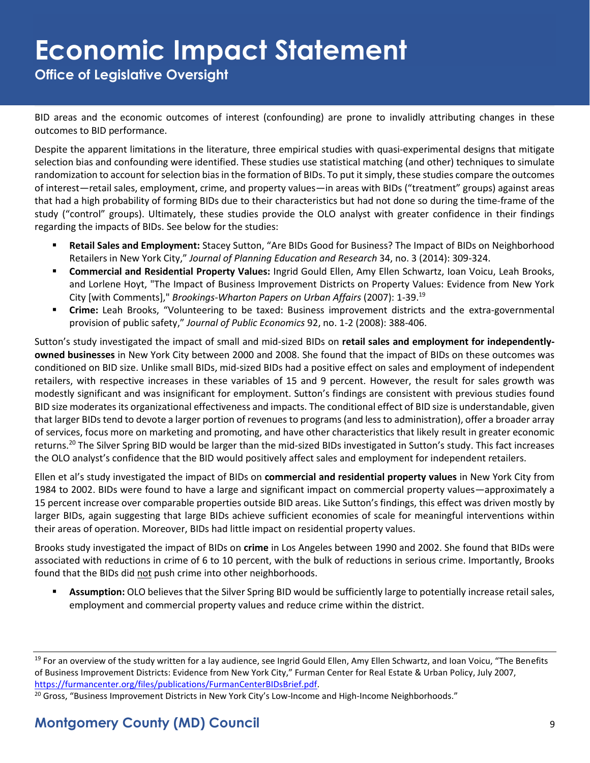**Office of Legislative Oversight**

BID areas and the economic outcomes of interest (confounding) are prone to invalidly attributing changes in these outcomes to BID performance.

Despite the apparent limitations in the literature, three empirical studies with quasi-experimental designs that mitigate selection bias and confounding were identified. These studies use statistical matching (and other) techniques to simulate randomization to account for selection bias in the formation of BIDs. To put it simply, these studies compare the outcomes of interest—retail sales, employment, crime, and property values—in areas with BIDs ("treatment" groups) against areas that had a high probability of forming BIDs due to their characteristics but had not done so during the time-frame of the study ("control" groups). Ultimately, these studies provide the OLO analyst with greater confidence in their findings regarding the impacts of BIDs. See below for the studies:

- **EXECTA:** Retail Sales and Employment: Stacey Sutton, "Are BIDs Good for Business? The Impact of BIDs on Neighborhood Retailers in New York City," *Journal of Planning Education and Research* 34, no. 3 (2014): 309-324.
- **Commercial and Residential Property Values:** Ingrid Gould Ellen, Amy Ellen Schwartz, Ioan Voicu, Leah Brooks, and Lorlene Hoyt, "The Impact of Business Improvement Districts on Property Values: Evidence from New York City [with Comments]," *Brookings-Wharton Papers on Urban Affairs* (2007): 1-39. 19
- **Crime:** Leah Brooks, "Volunteering to be taxed: Business improvement districts and the extra-governmental provision of public safety," *Journal of Public Economics* 92, no. 1-2 (2008): 388-406.

Sutton's study investigated the impact of small and mid-sized BIDs on **retail sales and employment for independentlyowned businesses** in New York City between 2000 and 2008. She found that the impact of BIDs on these outcomes was conditioned on BID size. Unlike small BIDs, mid-sized BIDs had a positive effect on sales and employment of independent retailers, with respective increases in these variables of 15 and 9 percent. However, the result for sales growth was modestly significant and was insignificant for employment. Sutton's findings are consistent with previous studies found BID size moderates its organizational effectiveness and impacts. The conditional effect of BID size is understandable, given that larger BIDs tend to devote a larger portion of revenues to programs (and less to administration), offer a broader array of services, focus more on marketing and promoting, and have other characteristics that likely result in greater economic returns.<sup>20</sup> The Silver Spring BID would be larger than the mid-sized BIDs investigated in Sutton's study. This fact increases the OLO analyst's confidence that the BID would positively affect sales and employment for independent retailers.

Ellen et al's study investigated the impact of BIDs on **commercial and residential property values** in New York City from 1984 to 2002. BIDs were found to have a large and significant impact on commercial property values—approximately a 15 percent increase over comparable properties outside BID areas. Like Sutton's findings, this effect was driven mostly by larger BIDs, again suggesting that large BIDs achieve sufficient economies of scale for meaningful interventions within their areas of operation. Moreover, BIDs had little impact on residential property values.

Brooks study investigated the impact of BIDs on **crime** in Los Angeles between 1990 and 2002. She found that BIDs were associated with reductions in crime of 6 to 10 percent, with the bulk of reductions in serious crime. Importantly, Brooks found that the BIDs did not push crime into other neighborhoods.

**EXECT Assumption:** OLO believes that the Silver Spring BID would be sufficiently large to potentially increase retail sales, employment and commercial property values and reduce crime within the district.

<sup>&</sup>lt;sup>19</sup> For an overview of the study written for a lay audience, see Ingrid Gould Ellen, Amy Ellen Schwartz, and Ioan Voicu, "The Benefits of Business Improvement Districts: Evidence from New York City," Furman Center for Real Estate & Urban Policy, July 2007, [https://furmancenter.org/files/publications/FurmanCenterBIDsBrief.pdf.](https://furmancenter.org/files/publications/FurmanCenterBIDsBrief.pdf)

<sup>&</sup>lt;sup>20</sup> Gross, "Business Improvement Districts in New York City's Low-Income and High-Income Neighborhoods."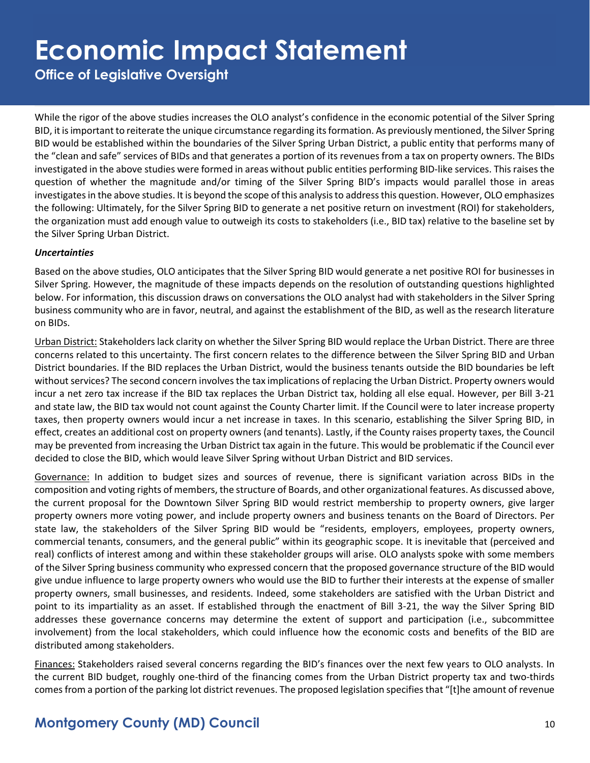**Office of Legislative Oversight**

While the rigor of the above studies increases the OLO analyst's confidence in the economic potential of the Silver Spring BID, it is important to reiterate the unique circumstance regarding its formation. As previously mentioned, the Silver Spring BID would be established within the boundaries of the Silver Spring Urban District, a public entity that performs many of the "clean and safe" services of BIDs and that generates a portion of its revenues from a tax on property owners. The BIDs investigated in the above studies were formed in areas without public entities performing BID-like services. This raises the question of whether the magnitude and/or timing of the Silver Spring BID's impacts would parallel those in areas investigates in the above studies. It is beyond the scope of this analysis to address this question. However, OLO emphasizes the following: Ultimately, for the Silver Spring BID to generate a net positive return on investment (ROI) for stakeholders, the organization must add enough value to outweigh its costs to stakeholders (i.e., BID tax) relative to the baseline set by the Silver Spring Urban District.

#### *Uncertainties*

Based on the above studies, OLO anticipates that the Silver Spring BID would generate a net positive ROI for businesses in Silver Spring. However, the magnitude of these impacts depends on the resolution of outstanding questions highlighted below. For information, this discussion draws on conversations the OLO analyst had with stakeholders in the Silver Spring business community who are in favor, neutral, and against the establishment of the BID, as well as the research literature on BIDs.

Urban District: Stakeholders lack clarity on whether the Silver Spring BID would replace the Urban District. There are three concerns related to this uncertainty. The first concern relates to the difference between the Silver Spring BID and Urban District boundaries. If the BID replaces the Urban District, would the business tenants outside the BID boundaries be left without services? The second concern involves the tax implications of replacing the Urban District. Property owners would incur a net zero tax increase if the BID tax replaces the Urban District tax, holding all else equal. However, per Bill 3-21 and state law, the BID tax would not count against the County Charter limit. If the Council were to later increase property taxes, then property owners would incur a net increase in taxes. In this scenario, establishing the Silver Spring BID, in effect, creates an additional cost on property owners (and tenants). Lastly, if the County raises property taxes, the Council may be prevented from increasing the Urban District tax again in the future. This would be problematic if the Council ever decided to close the BID, which would leave Silver Spring without Urban District and BID services.

Governance: In addition to budget sizes and sources of revenue, there is significant variation across BIDs in the composition and voting rights of members, the structure of Boards, and other organizational features. As discussed above, the current proposal for the Downtown Silver Spring BID would restrict membership to property owners, give larger property owners more voting power, and include property owners and business tenants on the Board of Directors. Per state law, the stakeholders of the Silver Spring BID would be "residents, employers, employees, property owners, commercial tenants, consumers, and the general public" within its geographic scope. It is inevitable that (perceived and real) conflicts of interest among and within these stakeholder groups will arise. OLO analysts spoke with some members of the Silver Spring business community who expressed concern that the proposed governance structure of the BID would give undue influence to large property owners who would use the BID to further their interests at the expense of smaller property owners, small businesses, and residents. Indeed, some stakeholders are satisfied with the Urban District and point to its impartiality as an asset. If established through the enactment of Bill 3-21, the way the Silver Spring BID addresses these governance concerns may determine the extent of support and participation (i.e., subcommittee involvement) from the local stakeholders, which could influence how the economic costs and benefits of the BID are distributed among stakeholders.

Finances: Stakeholders raised several concerns regarding the BID's finances over the next few years to OLO analysts. In the current BID budget, roughly one-third of the financing comes from the Urban District property tax and two-thirds comes from a portion of the parking lot district revenues. The proposed legislation specifies that "[t]he amount of revenue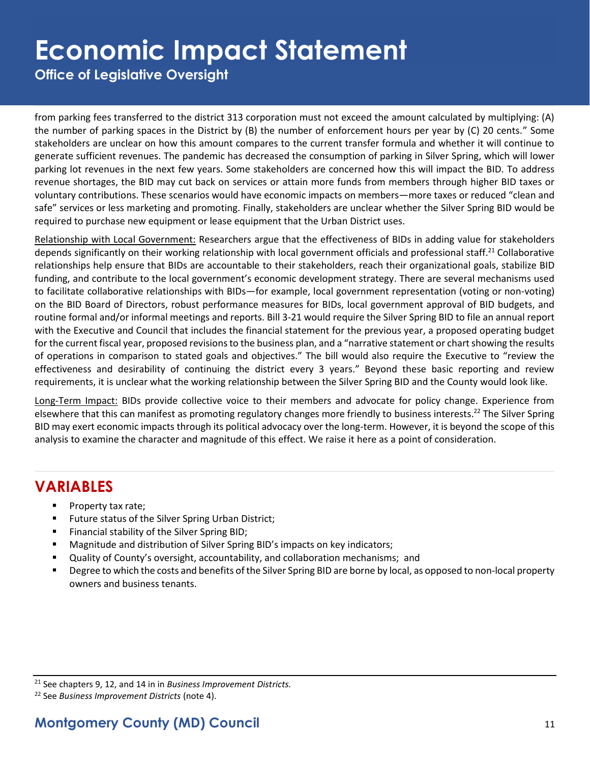**Office of Legislative Oversight**

from parking fees transferred to the district 313 corporation must not exceed the amount calculated by multiplying: (A) the number of parking spaces in the District by (B) the number of enforcement hours per year by (C) 20 cents." Some stakeholders are unclear on how this amount compares to the current transfer formula and whether it will continue to generate sufficient revenues. The pandemic has decreased the consumption of parking in Silver Spring, which will lower parking lot revenues in the next few years. Some stakeholders are concerned how this will impact the BID. To address revenue shortages, the BID may cut back on services or attain more funds from members through higher BID taxes or voluntary contributions. These scenarios would have economic impacts on members—more taxes or reduced "clean and safe" services or less marketing and promoting. Finally, stakeholders are unclear whether the Silver Spring BID would be required to purchase new equipment or lease equipment that the Urban District uses.

Relationship with Local Government: Researchers argue that the effectiveness of BIDs in adding value for stakeholders depends significantly on their working relationship with local government officials and professional staff.<sup>21</sup> Collaborative relationships help ensure that BIDs are accountable to their stakeholders, reach their organizational goals, stabilize BID funding, and contribute to the local government's economic development strategy. There are several mechanisms used to facilitate collaborative relationships with BIDs—for example, local government representation (voting or non-voting) on the BID Board of Directors, robust performance measures for BIDs, local government approval of BID budgets, and routine formal and/or informal meetings and reports. Bill 3-21 would require the Silver Spring BID to file an annual report with the Executive and Council that includes the financial statement for the previous year, a proposed operating budget for the current fiscal year, proposed revisions to the business plan, and a "narrative statement or chart showing the results of operations in comparison to stated goals and objectives." The bill would also require the Executive to "review the effectiveness and desirability of continuing the district every 3 years." Beyond these basic reporting and review requirements, it is unclear what the working relationship between the Silver Spring BID and the County would look like.

Long-Term Impact: BIDs provide collective voice to their members and advocate for policy change. Experience from elsewhere that this can manifest as promoting regulatory changes more friendly to business interests.<sup>22</sup> The Silver Spring BID may exert economic impacts through its political advocacy over the long-term. However, it is beyond the scope of this analysis to examine the character and magnitude of this effect. We raise it here as a point of consideration.

### **VARIABLES**

- Property tax rate;
- Future status of the Silver Spring Urban District;
- Financial stability of the Silver Spring BID;
- Magnitude and distribution of Silver Spring BID's impacts on key indicators;
- Quality of County's oversight, accountability, and collaboration mechanisms; and
- Degree to which the costs and benefits of the Silver Spring BID are borne by local, as opposed to non-local property owners and business tenants.

<sup>21</sup> See chapters 9, 12, and 14 in in *Business Improvement Districts.* 

<sup>22</sup> See *Business Improvement Districts* (note 4).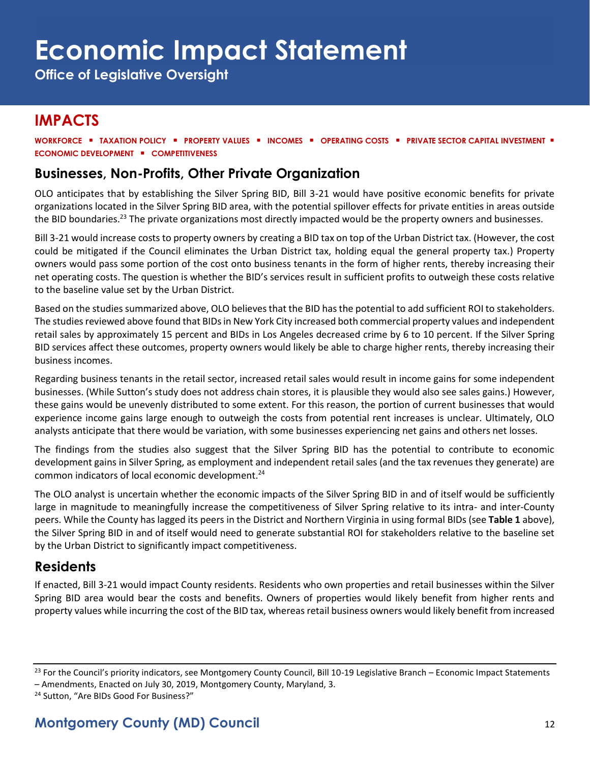**Office of Legislative Oversight**

## **IMPACTS**

**WORKFORCE** ▪ **TAXATION POLICY** ▪ **PROPERTY VALUES** ▪ **INCOMES** ▪ **OPERATING COSTS** ▪ **PRIVATE SECTOR CAPITAL INVESTMENT** ▪ **ECONOMIC DEVELOPMENT** ▪ **COMPETITIVENESS**

### **Businesses, Non-Profits, Other Private Organization**

OLO anticipates that by establishing the Silver Spring BID, Bill 3-21 would have positive economic benefits for private organizations located in the Silver Spring BID area, with the potential spillover effects for private entities in areas outside the BID boundaries.<sup>23</sup> The private organizations most directly impacted would be the property owners and businesses.

Bill 3-21 would increase costs to property owners by creating a BID tax on top of the Urban District tax. (However, the cost could be mitigated if the Council eliminates the Urban District tax, holding equal the general property tax.) Property owners would pass some portion of the cost onto business tenants in the form of higher rents, thereby increasing their net operating costs. The question is whether the BID's services result in sufficient profits to outweigh these costs relative to the baseline value set by the Urban District.

Based on the studies summarized above, OLO believes that the BID has the potential to add sufficient ROI to stakeholders. The studies reviewed above found that BIDs in New York City increased both commercial property values and independent retail sales by approximately 15 percent and BIDs in Los Angeles decreased crime by 6 to 10 percent. If the Silver Spring BID services affect these outcomes, property owners would likely be able to charge higher rents, thereby increasing their business incomes.

Regarding business tenants in the retail sector, increased retail sales would result in income gains for some independent businesses. (While Sutton's study does not address chain stores, it is plausible they would also see sales gains.) However, these gains would be unevenly distributed to some extent. For this reason, the portion of current businesses that would experience income gains large enough to outweigh the costs from potential rent increases is unclear. Ultimately, OLO analysts anticipate that there would be variation, with some businesses experiencing net gains and others net losses.

The findings from the studies also suggest that the Silver Spring BID has the potential to contribute to economic development gains in Silver Spring, as employment and independent retail sales (and the tax revenues they generate) are common indicators of local economic development.<sup>24</sup>

The OLO analyst is uncertain whether the economic impacts of the Silver Spring BID in and of itself would be sufficiently large in magnitude to meaningfully increase the competitiveness of Silver Spring relative to its intra- and inter-County peers. While the County has lagged its peers in the District and Northern Virginia in using formal BIDs (see **Table 1** above), the Silver Spring BID in and of itself would need to generate substantial ROI for stakeholders relative to the baseline set by the Urban District to significantly impact competitiveness.

### **Residents**

If enacted, Bill 3-21 would impact County residents. Residents who own properties and retail businesses within the Silver Spring BID area would bear the costs and benefits. Owners of properties would likely benefit from higher rents and property values while incurring the cost of the BID tax, whereas retail business owners would likely benefit from increased

<sup>&</sup>lt;sup>23</sup> For the Council's priority indicators, see Montgomery County Council, Bill 10-19 Legislative Branch – Economic Impact Statements – Amendments, Enacted on July 30, 2019, Montgomery County, Maryland, 3.

<sup>&</sup>lt;sup>24</sup> Sutton, "Are BIDs Good For Business?"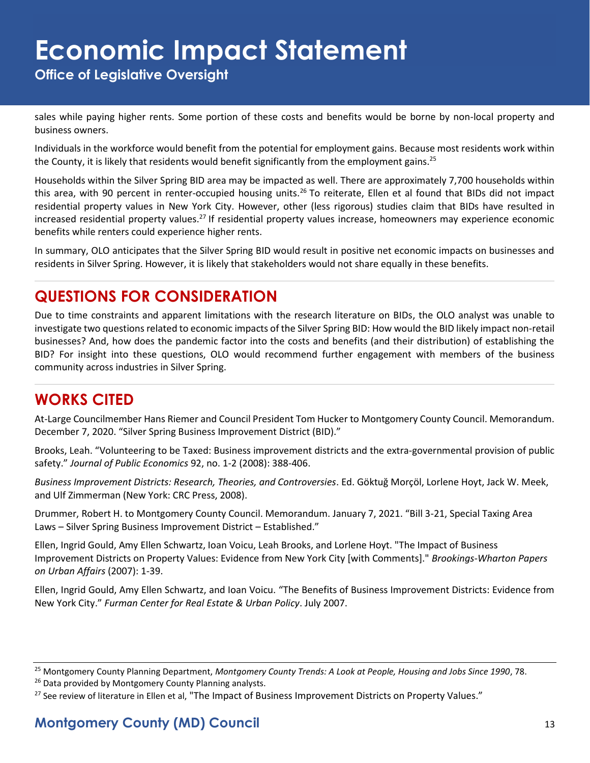**Office of Legislative Oversight**

sales while paying higher rents. Some portion of these costs and benefits would be borne by non-local property and business owners.

Individuals in the workforce would benefit from the potential for employment gains. Because most residents work within the County, it is likely that residents would benefit significantly from the employment gains.<sup>25</sup>

Households within the Silver Spring BID area may be impacted as well. There are approximately 7,700 households within this area, with 90 percent in renter-occupied housing units.<sup>26</sup> To reiterate, Ellen et al found that BIDs did not impact residential property values in New York City. However, other (less rigorous) studies claim that BIDs have resulted in increased residential property values.<sup>27</sup> If residential property values increase, homeowners may experience economic benefits while renters could experience higher rents.

In summary, OLO anticipates that the Silver Spring BID would result in positive net economic impacts on businesses and residents in Silver Spring. However, it is likely that stakeholders would not share equally in these benefits.

## **QUESTIONS FOR CONSIDERATION**

Due to time constraints and apparent limitations with the research literature on BIDs, the OLO analyst was unable to investigate two questions related to economic impacts of the Silver Spring BID: How would the BID likely impact non-retail businesses? And, how does the pandemic factor into the costs and benefits (and their distribution) of establishing the BID? For insight into these questions, OLO would recommend further engagement with members of the business community across industries in Silver Spring.

## **WORKS CITED**

At-Large Councilmember Hans Riemer and Council President Tom Hucker to Montgomery County Council. Memorandum. December 7, 2020. "Silver Spring Business Improvement District (BID)."

Brooks, Leah. "Volunteering to be Taxed: Business improvement districts and the extra-governmental provision of public safety." *Journal of Public Economics* 92, no. 1-2 (2008): 388-406.

*Business Improvement Districts: Research, Theories, and Controversies*. Ed. Göktuğ Morçöl, Lorlene Hoyt, Jack W. Meek, and Ulf Zimmerman (New York: CRC Press, 2008).

Drummer, Robert H. to Montgomery County Council. Memorandum. January 7, 2021. "Bill 3-21, Special Taxing Area Laws – Silver Spring Business Improvement District – Established."

Ellen, Ingrid Gould, Amy Ellen Schwartz, Ioan Voicu, Leah Brooks, and Lorlene Hoyt. "The Impact of Business Improvement Districts on Property Values: Evidence from New York City [with Comments]." *Brookings-Wharton Papers on Urban Affairs* (2007): 1-39.

Ellen, Ingrid Gould, Amy Ellen Schwartz, and Ioan Voicu. "The Benefits of Business Improvement Districts: Evidence from New York City." *Furman Center for Real Estate & Urban Policy*. July 2007.

<sup>25</sup> Montgomery County Planning Department, *Montgomery County Trends: A Look at People, Housing and Jobs Since 1990*, 78.

<sup>&</sup>lt;sup>26</sup> Data provided by Montgomery County Planning analysts.

<sup>&</sup>lt;sup>27</sup> See review of literature in Ellen et al, "The Impact of Business Improvement Districts on Property Values."